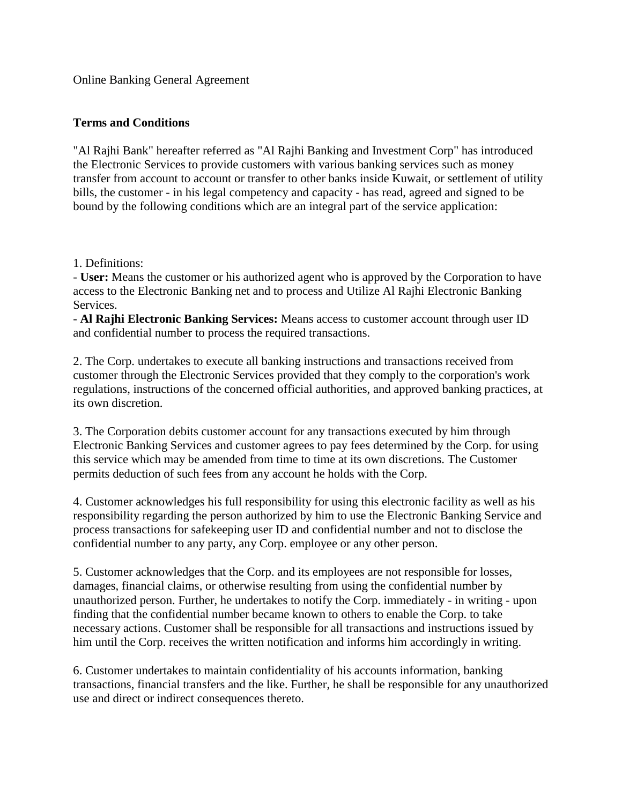Online Banking General Agreement

## **Terms and Conditions**

"Al Rajhi Bank" hereafter referred as "Al Rajhi Banking and Investment Corp" has introduced the Electronic Services to provide customers with various banking services such as money transfer from account to account or transfer to other banks inside Kuwait, or settlement of utility bills, the customer - in his legal competency and capacity - has read, agreed and signed to be bound by the following conditions which are an integral part of the service application:

1. Definitions:

- **User:** Means the customer or his authorized agent who is approved by the Corporation to have access to the Electronic Banking net and to process and Utilize Al Rajhi Electronic Banking Services.

- **Al Rajhi Electronic Banking Services:** Means access to customer account through user ID and confidential number to process the required transactions.

2. The Corp. undertakes to execute all banking instructions and transactions received from customer through the Electronic Services provided that they comply to the corporation's work regulations, instructions of the concerned official authorities, and approved banking practices, at its own discretion.

3. The Corporation debits customer account for any transactions executed by him through Electronic Banking Services and customer agrees to pay fees determined by the Corp. for using this service which may be amended from time to time at its own discretions. The Customer permits deduction of such fees from any account he holds with the Corp.

4. Customer acknowledges his full responsibility for using this electronic facility as well as his responsibility regarding the person authorized by him to use the Electronic Banking Service and process transactions for safekeeping user ID and confidential number and not to disclose the confidential number to any party, any Corp. employee or any other person.

5. Customer acknowledges that the Corp. and its employees are not responsible for losses, damages, financial claims, or otherwise resulting from using the confidential number by unauthorized person. Further, he undertakes to notify the Corp. immediately - in writing - upon finding that the confidential number became known to others to enable the Corp. to take necessary actions. Customer shall be responsible for all transactions and instructions issued by him until the Corp. receives the written notification and informs him accordingly in writing.

6. Customer undertakes to maintain confidentiality of his accounts information, banking transactions, financial transfers and the like. Further, he shall be responsible for any unauthorized use and direct or indirect consequences thereto.